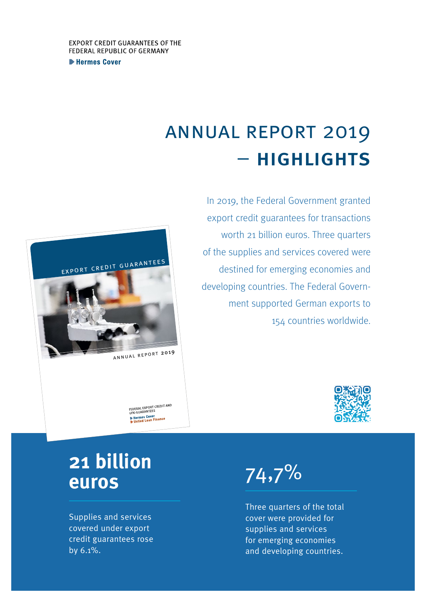**Extermes Cover** 

## annual report 2019 – highlights

In 2019, the Federal Government granted export credit guarantees for transactions worth 21 billion euros. Three quarters of the supplies and services covered were destined for emerging economies and developing countries. The Federal Government supported German exports to 154 countries worldwide.



## **21 billion euros**

export credit guarantees

annual report <sup>2019</sup>

FEDERAL EXPORT CREDIT AND<br>UFK-GUARANTEES Hermes Cover<br>Muntied Loan Finance

Supplies and services covered under export credit guarantees rose by 6.1%.



Three quarters of the total cover were provided for supplies and services for emerging economies and developing countries.